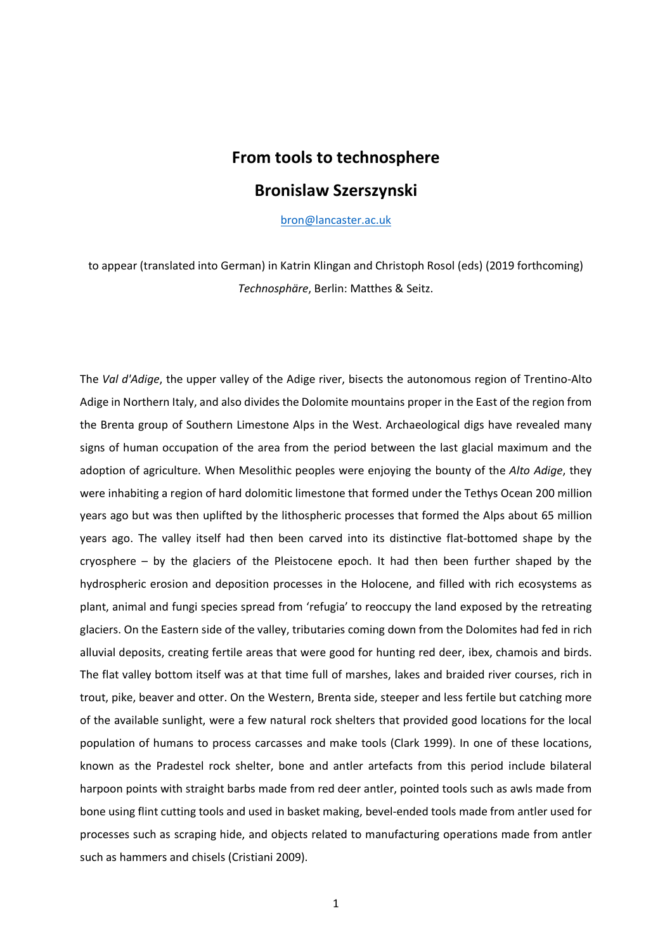# **From tools to technosphere Bronislaw Szerszynski**

[bron@lancaster.ac.uk](mailto:bron@lancaster.ac.uk)

to appear (translated into German) in Katrin Klingan and Christoph Rosol (eds) (2019 forthcoming) *Technosphäre*, Berlin: Matthes & Seitz.

The *Val d'Adige*, the upper valley of the Adige river, bisects the autonomous region of Trentino-Alto Adige in Northern Italy, and also divides the Dolomite mountains proper in the East of the region from the Brenta group of Southern Limestone Alps in the West. Archaeological digs have revealed many signs of human occupation of the area from the period between the last glacial maximum and the adoption of agriculture. When Mesolithic peoples were enjoying the bounty of the *Alto Adige*, they were inhabiting a region of hard dolomitic limestone that formed under the Tethys Ocean 200 million years ago but was then uplifted by the lithospheric processes that formed the Alps about 65 million years ago. The valley itself had then been carved into its distinctive flat-bottomed shape by the cryosphere – by the glaciers of the Pleistocene epoch. It had then been further shaped by the hydrospheric erosion and deposition processes in the Holocene, and filled with rich ecosystems as plant, animal and fungi species spread from 'refugia' to reoccupy the land exposed by the retreating glaciers. On the Eastern side of the valley, tributaries coming down from the Dolomites had fed in rich alluvial deposits, creating fertile areas that were good for hunting red deer, ibex, chamois and birds. The flat valley bottom itself was at that time full of marshes, lakes and braided river courses, rich in trout, pike, beaver and otter. On the Western, Brenta side, steeper and less fertile but catching more of the available sunlight, were a few natural rock shelters that provided good locations for the local population of humans to process carcasses and make tools (Clark 1999). In one of these locations, known as the Pradestel rock shelter, bone and antler artefacts from this period include bilateral harpoon points with straight barbs made from red deer antler, pointed tools such as awls made from bone using flint cutting tools and used in basket making, bevel-ended tools made from antler used for processes such as scraping hide, and objects related to manufacturing operations made from antler such as hammers and chisels (Cristiani 2009).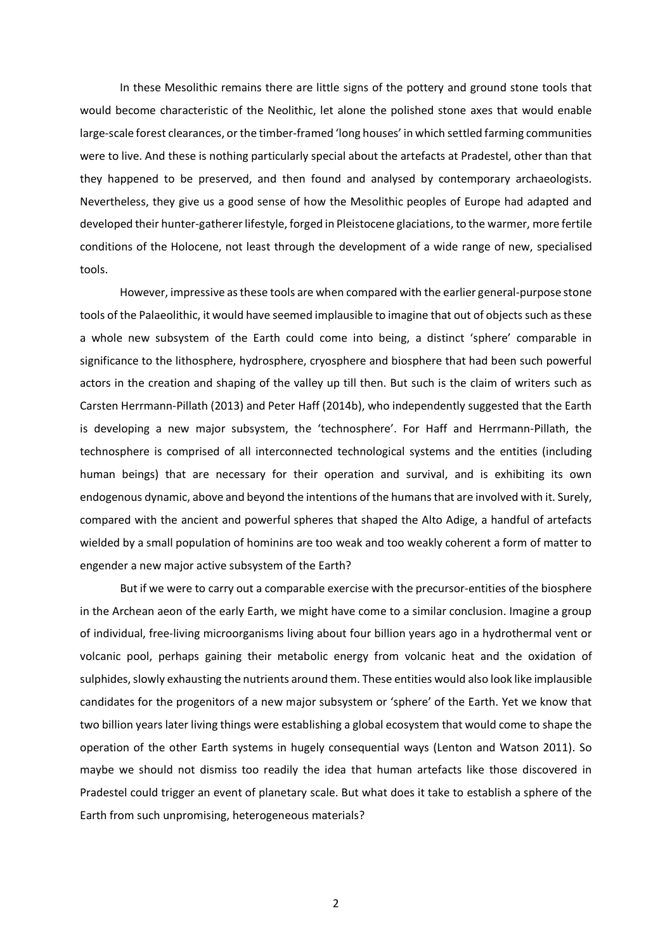In these Mesolithic remains there are little signs of the pottery and ground stone tools that would become characteristic of the Neolithic, let alone the polished stone axes that would enable large-scale forest clearances, or the timber-framed 'long houses' in which settled farming communities were to live. And these is nothing particularly special about the artefacts at Pradestel, other than that they happened to be preserved, and then found and analysed by contemporary archaeologists. Nevertheless, they give us a good sense of how the Mesolithic peoples of Europe had adapted and developed their hunter-gatherer lifestyle, forged in Pleistocene glaciations, to the warmer, more fertile conditions of the Holocene, not least through the development of a wide range of new, specialised tools.

However, impressive as these tools are when compared with the earlier general-purpose stone tools of the Palaeolithic, it would have seemed implausible to imagine that out of objects such as these a whole new subsystem of the Earth could come into being, a distinct 'sphere' comparable in significance to the lithosphere, hydrosphere, cryosphere and biosphere that had been such powerful actors in the creation and shaping of the valley up till then. But such is the claim of writers such as Carsten Herrmann-Pillath (2013) and Peter Haff (2014b), who independently suggested that the Earth is developing a new major subsystem, the 'technosphere'. For Haff and Herrmann-Pillath, the technosphere is comprised of all interconnected technological systems and the entities (including human beings) that are necessary for their operation and survival, and is exhibiting its own endogenous dynamic, above and beyond the intentions of the humans that are involved with it. Surely, compared with the ancient and powerful spheres that shaped the Alto Adige, a handful of artefacts wielded by a small population of hominins are too weak and too weakly coherent a form of matter to engender a new major active subsystem of the Earth?

But if we were to carry out a comparable exercise with the precursor-entities of the biosphere in the Archean aeon of the early Earth, we might have come to a similar conclusion. Imagine a group of individual, free-living microorganisms living about four billion years ago in a hydrothermal vent or volcanic pool, perhaps gaining their metabolic energy from volcanic heat and the oxidation of sulphides, slowly exhausting the nutrients around them. These entities would also look like implausible candidates for the progenitors of a new major subsystem or 'sphere' of the Earth. Yet we know that two billion years later living things were establishing a global ecosystem that would come to shape the operation of the other Earth systems in hugely consequential ways (Lenton and Watson 2011). So maybe we should not dismiss too readily the idea that human artefacts like those discovered in Pradestel could trigger an event of planetary scale. But what does it take to establish a sphere of the Earth from such unpromising, heterogeneous materials?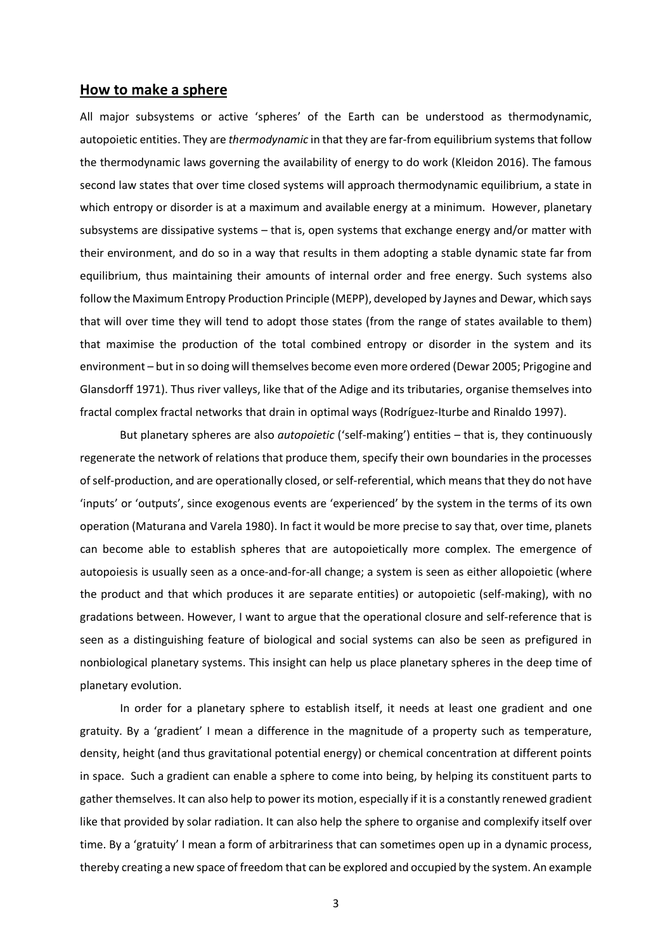#### **How to make a sphere**

All major subsystems or active 'spheres' of the Earth can be understood as thermodynamic, autopoietic entities. They are *thermodynamic* in that they are far-from equilibrium systems that follow the thermodynamic laws governing the availability of energy to do work (Kleidon 2016). The famous second law states that over time closed systems will approach thermodynamic equilibrium, a state in which entropy or disorder is at a maximum and available energy at a minimum. However, planetary subsystems are dissipative systems – that is, open systems that exchange energy and/or matter with their environment, and do so in a way that results in them adopting a stable dynamic state far from equilibrium, thus maintaining their amounts of internal order and free energy. Such systems also follow the Maximum Entropy Production Principle (MEPP), developed by Jaynes and Dewar, which says that will over time they will tend to adopt those states (from the range of states available to them) that maximise the production of the total combined entropy or disorder in the system and its environment – but in so doing will themselves become even more ordered (Dewar 2005; Prigogine and Glansdorff 1971). Thus river valleys, like that of the Adige and its tributaries, organise themselves into fractal complex fractal networks that drain in optimal ways (Rodríguez-Iturbe and Rinaldo 1997).

But planetary spheres are also *autopoietic* ('self-making') entities – that is, they continuously regenerate the network of relations that produce them, specify their own boundaries in the processes of self-production, and are operationally closed, or self-referential, which means that they do not have 'inputs' or 'outputs', since exogenous events are 'experienced' by the system in the terms of its own operation (Maturana and Varela 1980). In fact it would be more precise to say that, over time, planets can become able to establish spheres that are autopoietically more complex. The emergence of autopoiesis is usually seen as a once-and-for-all change; a system is seen as either allopoietic (where the product and that which produces it are separate entities) or autopoietic (self-making), with no gradations between. However, I want to argue that the operational closure and self-reference that is seen as a distinguishing feature of biological and social systems can also be seen as prefigured in nonbiological planetary systems. This insight can help us place planetary spheres in the deep time of planetary evolution.

In order for a planetary sphere to establish itself, it needs at least one gradient and one gratuity. By a 'gradient' I mean a difference in the magnitude of a property such as temperature, density, height (and thus gravitational potential energy) or chemical concentration at different points in space. Such a gradient can enable a sphere to come into being, by helping its constituent parts to gather themselves. It can also help to power its motion, especially if it is a constantly renewed gradient like that provided by solar radiation. It can also help the sphere to organise and complexify itself over time. By a 'gratuity' I mean a form of arbitrariness that can sometimes open up in a dynamic process, thereby creating a new space of freedom that can be explored and occupied by the system. An example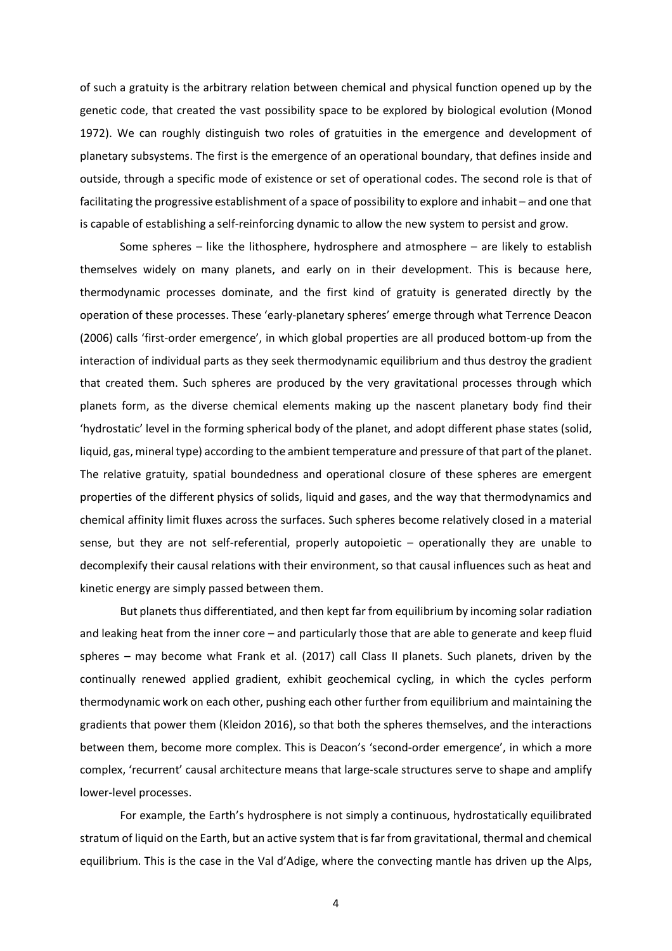of such a gratuity is the arbitrary relation between chemical and physical function opened up by the genetic code, that created the vast possibility space to be explored by biological evolution (Monod 1972). We can roughly distinguish two roles of gratuities in the emergence and development of planetary subsystems. The first is the emergence of an operational boundary, that defines inside and outside, through a specific mode of existence or set of operational codes. The second role is that of facilitating the progressive establishment of a space of possibility to explore and inhabit – and one that is capable of establishing a self-reinforcing dynamic to allow the new system to persist and grow.

Some spheres – like the lithosphere, hydrosphere and atmosphere – are likely to establish themselves widely on many planets, and early on in their development. This is because here, thermodynamic processes dominate, and the first kind of gratuity is generated directly by the operation of these processes. These 'early-planetary spheres' emerge through what Terrence Deacon (2006) calls 'first-order emergence', in which global properties are all produced bottom-up from the interaction of individual parts as they seek thermodynamic equilibrium and thus destroy the gradient that created them. Such spheres are produced by the very gravitational processes through which planets form, as the diverse chemical elements making up the nascent planetary body find their 'hydrostatic' level in the forming spherical body of the planet, and adopt different phase states (solid, liquid, gas, mineral type) according to the ambient temperature and pressure of that part of the planet. The relative gratuity, spatial boundedness and operational closure of these spheres are emergent properties of the different physics of solids, liquid and gases, and the way that thermodynamics and chemical affinity limit fluxes across the surfaces. Such spheres become relatively closed in a material sense, but they are not self-referential, properly autopoietic – operationally they are unable to decomplexify their causal relations with their environment, so that causal influences such as heat and kinetic energy are simply passed between them.

But planets thus differentiated, and then kept far from equilibrium by incoming solar radiation and leaking heat from the inner core – and particularly those that are able to generate and keep fluid spheres – may become what Frank et al. (2017) call Class II planets. Such planets, driven by the continually renewed applied gradient, exhibit geochemical cycling, in which the cycles perform thermodynamic work on each other, pushing each other further from equilibrium and maintaining the gradients that power them (Kleidon 2016), so that both the spheres themselves, and the interactions between them, become more complex. This is Deacon's 'second-order emergence', in which a more complex, 'recurrent' causal architecture means that large-scale structures serve to shape and amplify lower-level processes.

For example, the Earth's hydrosphere is not simply a continuous, hydrostatically equilibrated stratum of liquid on the Earth, but an active system that is far from gravitational, thermal and chemical equilibrium. This is the case in the Val d'Adige, where the convecting mantle has driven up the Alps,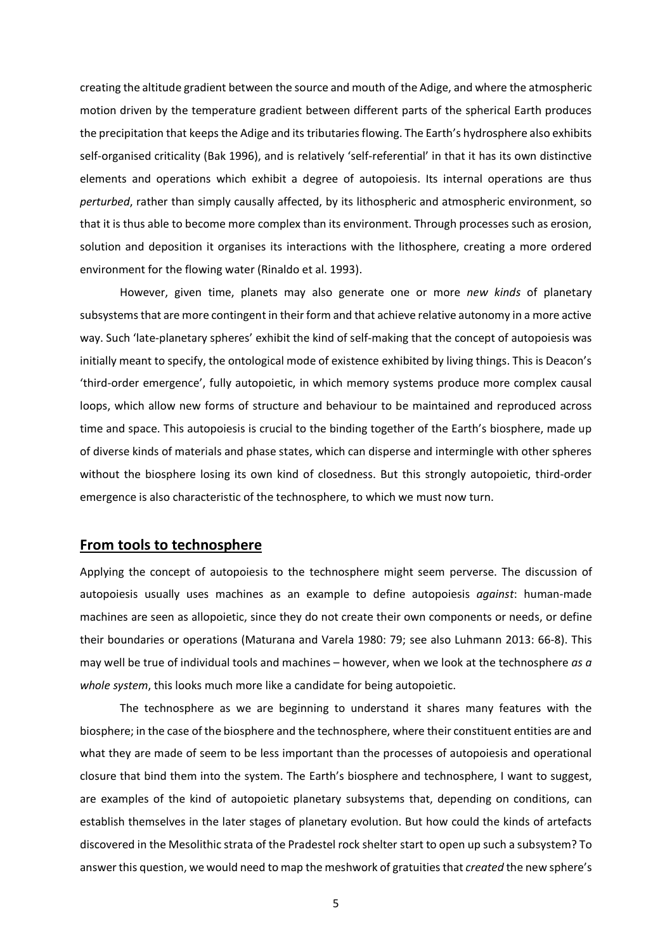creating the altitude gradient between the source and mouth of the Adige, and where the atmospheric motion driven by the temperature gradient between different parts of the spherical Earth produces the precipitation that keeps the Adige and its tributaries flowing. The Earth's hydrosphere also exhibits self-organised criticality (Bak 1996), and is relatively 'self-referential' in that it has its own distinctive elements and operations which exhibit a degree of autopoiesis. Its internal operations are thus *perturbed*, rather than simply causally affected, by its lithospheric and atmospheric environment, so that it is thus able to become more complex than its environment. Through processes such as erosion, solution and deposition it organises its interactions with the lithosphere, creating a more ordered environment for the flowing water (Rinaldo et al. 1993).

However, given time, planets may also generate one or more *new kinds* of planetary subsystems that are more contingent in their form and that achieve relative autonomy in a more active way. Such 'late-planetary spheres' exhibit the kind of self-making that the concept of autopoiesis was initially meant to specify, the ontological mode of existence exhibited by living things. This is Deacon's 'third-order emergence', fully autopoietic, in which memory systems produce more complex causal loops, which allow new forms of structure and behaviour to be maintained and reproduced across time and space. This autopoiesis is crucial to the binding together of the Earth's biosphere, made up of diverse kinds of materials and phase states, which can disperse and intermingle with other spheres without the biosphere losing its own kind of closedness. But this strongly autopoietic, third-order emergence is also characteristic of the technosphere, to which we must now turn.

## **From tools to technosphere**

Applying the concept of autopoiesis to the technosphere might seem perverse. The discussion of autopoiesis usually uses machines as an example to define autopoiesis *against*: human-made machines are seen as allopoietic, since they do not create their own components or needs, or define their boundaries or operations (Maturana and Varela 1980: 79; see also Luhmann 2013: 66-8). This may well be true of individual tools and machines – however, when we look at the technosphere *as a whole system*, this looks much more like a candidate for being autopoietic.

The technosphere as we are beginning to understand it shares many features with the biosphere; in the case of the biosphere and the technosphere, where their constituent entities are and what they are made of seem to be less important than the processes of autopoiesis and operational closure that bind them into the system. The Earth's biosphere and technosphere, I want to suggest, are examples of the kind of autopoietic planetary subsystems that, depending on conditions, can establish themselves in the later stages of planetary evolution. But how could the kinds of artefacts discovered in the Mesolithic strata of the Pradestel rock shelter start to open up such a subsystem? To answer this question, we would need to map the meshwork of gratuities that *created* the new sphere's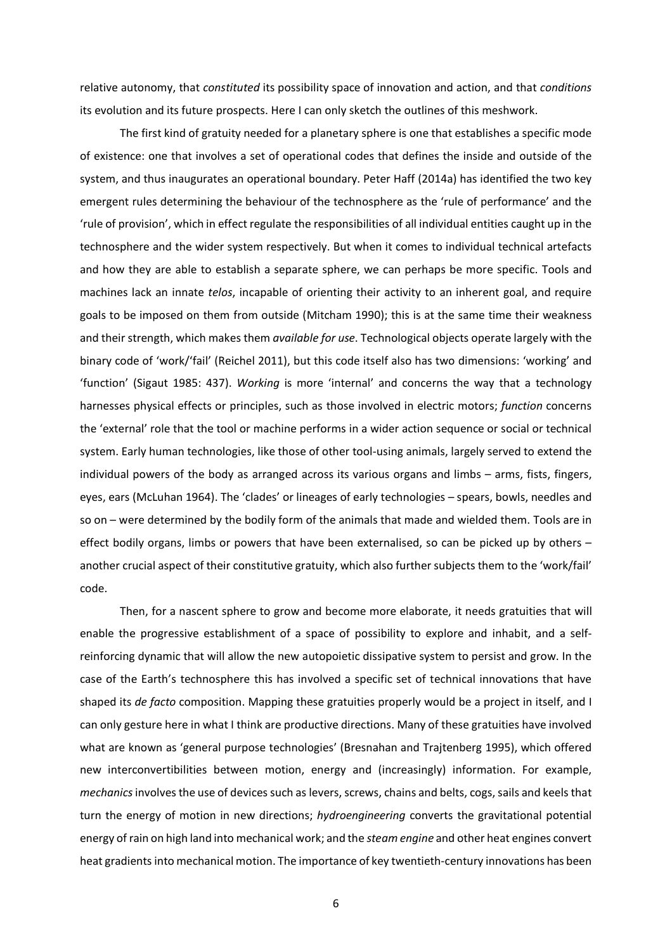relative autonomy, that *constituted* its possibility space of innovation and action, and that *conditions* its evolution and its future prospects. Here I can only sketch the outlines of this meshwork.

The first kind of gratuity needed for a planetary sphere is one that establishes a specific mode of existence: one that involves a set of operational codes that defines the inside and outside of the system, and thus inaugurates an operational boundary. Peter Haff (2014a) has identified the two key emergent rules determining the behaviour of the technosphere as the 'rule of performance' and the 'rule of provision', which in effect regulate the responsibilities of all individual entities caught up in the technosphere and the wider system respectively. But when it comes to individual technical artefacts and how they are able to establish a separate sphere, we can perhaps be more specific. Tools and machines lack an innate *telos*, incapable of orienting their activity to an inherent goal, and require goals to be imposed on them from outside (Mitcham 1990); this is at the same time their weakness and their strength, which makes them *available for use*. Technological objects operate largely with the binary code of 'work/'fail' (Reichel 2011), but this code itself also has two dimensions: 'working' and 'function' (Sigaut 1985: 437). *Working* is more 'internal' and concerns the way that a technology harnesses physical effects or principles, such as those involved in electric motors; *function* concerns the 'external' role that the tool or machine performs in a wider action sequence or social or technical system. Early human technologies, like those of other tool-using animals, largely served to extend the individual powers of the body as arranged across its various organs and limbs – arms, fists, fingers, eyes, ears (McLuhan 1964). The 'clades' or lineages of early technologies – spears, bowls, needles and so on – were determined by the bodily form of the animals that made and wielded them. Tools are in effect bodily organs, limbs or powers that have been externalised, so can be picked up by others – another crucial aspect of their constitutive gratuity, which also further subjects them to the 'work/fail' code.

Then, for a nascent sphere to grow and become more elaborate, it needs gratuities that will enable the progressive establishment of a space of possibility to explore and inhabit, and a selfreinforcing dynamic that will allow the new autopoietic dissipative system to persist and grow. In the case of the Earth's technosphere this has involved a specific set of technical innovations that have shaped its *de facto* composition. Mapping these gratuities properly would be a project in itself, and I can only gesture here in what I think are productive directions. Many of these gratuities have involved what are known as 'general purpose technologies' (Bresnahan and Trajtenberg 1995), which offered new interconvertibilities between motion, energy and (increasingly) information. For example, *mechanics*involves the use of devices such as levers, screws, chains and belts, cogs, sails and keelsthat turn the energy of motion in new directions; *hydroengineering* converts the gravitational potential energy of rain on high land into mechanical work; and the *steam engine* and other heat engines convert heat gradients into mechanical motion. The importance of key twentieth-century innovations has been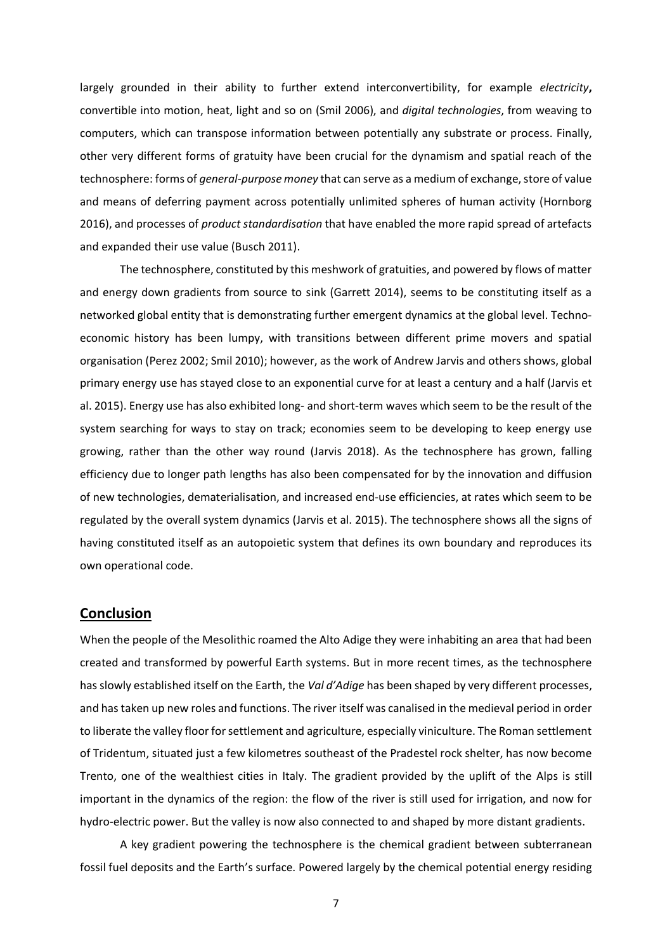largely grounded in their ability to further extend interconvertibility, for example *electricity***,**  convertible into motion, heat, light and so on (Smil 2006), and *digital technologies*, from weaving to computers, which can transpose information between potentially any substrate or process. Finally, other very different forms of gratuity have been crucial for the dynamism and spatial reach of the technosphere: forms of *general-purpose money* that can serve as a medium of exchange, store of value and means of deferring payment across potentially unlimited spheres of human activity (Hornborg 2016), and processes of *product standardisation* that have enabled the more rapid spread of artefacts and expanded their use value (Busch 2011).

The technosphere, constituted by this meshwork of gratuities, and powered by flows of matter and energy down gradients from source to sink (Garrett 2014), seems to be constituting itself as a networked global entity that is demonstrating further emergent dynamics at the global level. Technoeconomic history has been lumpy, with transitions between different prime movers and spatial organisation (Perez 2002; Smil 2010); however, as the work of Andrew Jarvis and others shows, global primary energy use has stayed close to an exponential curve for at least a century and a half (Jarvis et al. 2015). Energy use has also exhibited long- and short-term waves which seem to be the result of the system searching for ways to stay on track; economies seem to be developing to keep energy use growing, rather than the other way round (Jarvis 2018). As the technosphere has grown, falling efficiency due to longer path lengths has also been compensated for by the innovation and diffusion of new technologies, dematerialisation, and increased end-use efficiencies, at rates which seem to be regulated by the overall system dynamics (Jarvis et al. 2015). The technosphere shows all the signs of having constituted itself as an autopoietic system that defines its own boundary and reproduces its own operational code.

#### **Conclusion**

When the people of the Mesolithic roamed the Alto Adige they were inhabiting an area that had been created and transformed by powerful Earth systems. But in more recent times, as the technosphere has slowly established itself on the Earth, the *Val d'Adige* has been shaped by very different processes, and has taken up new roles and functions. The river itself was canalised in the medieval period in order to liberate the valley floor for settlement and agriculture, especially viniculture. The Roman settlement of Tridentum, situated just a few kilometres southeast of the Pradestel rock shelter, has now become Trento, one of the wealthiest cities in Italy. The gradient provided by the uplift of the Alps is still important in the dynamics of the region: the flow of the river is still used for irrigation, and now for hydro-electric power. But the valley is now also connected to and shaped by more distant gradients.

A key gradient powering the technosphere is the chemical gradient between subterranean fossil fuel deposits and the Earth's surface. Powered largely by the chemical potential energy residing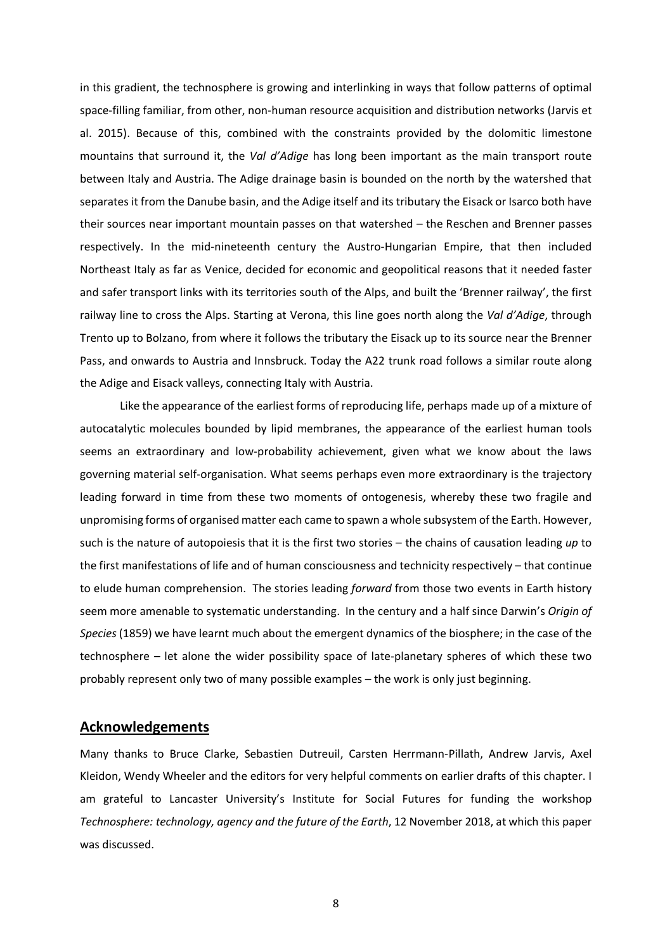in this gradient, the technosphere is growing and interlinking in ways that follow patterns of optimal space-filling familiar, from other, non-human resource acquisition and distribution networks (Jarvis et al. 2015). Because of this, combined with the constraints provided by the dolomitic limestone mountains that surround it, the *Val d'Adige* has long been important as the main transport route between Italy and Austria. The Adige drainage basin is bounded on the north by the watershed that separates it from the Danube basin, and the Adige itself and its tributary the Eisack or Isarco both have their sources near important mountain passes on that watershed – the Reschen and Brenner passes respectively. In the mid-nineteenth century the Austro-Hungarian Empire, that then included Northeast Italy as far as Venice, decided for economic and geopolitical reasons that it needed faster and safer transport links with its territories south of the Alps, and built the 'Brenner railway', the first railway line to cross the Alps. Starting at Verona, this line goes north along the *Val d'Adige*, through Trento up to Bolzano, from where it follows the tributary the Eisack up to its source near the Brenner Pass, and onwards to Austria and Innsbruck. Today the A22 trunk road follows a similar route along the Adige and Eisack valleys, connecting Italy with Austria.

Like the appearance of the earliest forms of reproducing life, perhaps made up of a mixture of autocatalytic molecules bounded by lipid membranes, the appearance of the earliest human tools seems an extraordinary and low-probability achievement, given what we know about the laws governing material self-organisation. What seems perhaps even more extraordinary is the trajectory leading forward in time from these two moments of ontogenesis, whereby these two fragile and unpromising forms of organised matter each came to spawn a whole subsystem of the Earth. However, such is the nature of autopoiesis that it is the first two stories – the chains of causation leading *up* to the first manifestations of life and of human consciousness and technicity respectively – that continue to elude human comprehension. The stories leading *forward* from those two events in Earth history seem more amenable to systematic understanding. In the century and a half since Darwin's *Origin of Species*(1859) we have learnt much about the emergent dynamics of the biosphere; in the case of the technosphere – let alone the wider possibility space of late-planetary spheres of which these two probably represent only two of many possible examples – the work is only just beginning.

## **Acknowledgements**

Many thanks to Bruce Clarke, Sebastien Dutreuil, Carsten Herrmann-Pillath, Andrew Jarvis, Axel Kleidon, Wendy Wheeler and the editors for very helpful comments on earlier drafts of this chapter. I am grateful to Lancaster University's Institute for Social Futures for funding the workshop *Technosphere: technology, agency and the future of the Earth*, 12 November 2018, at which this paper was discussed.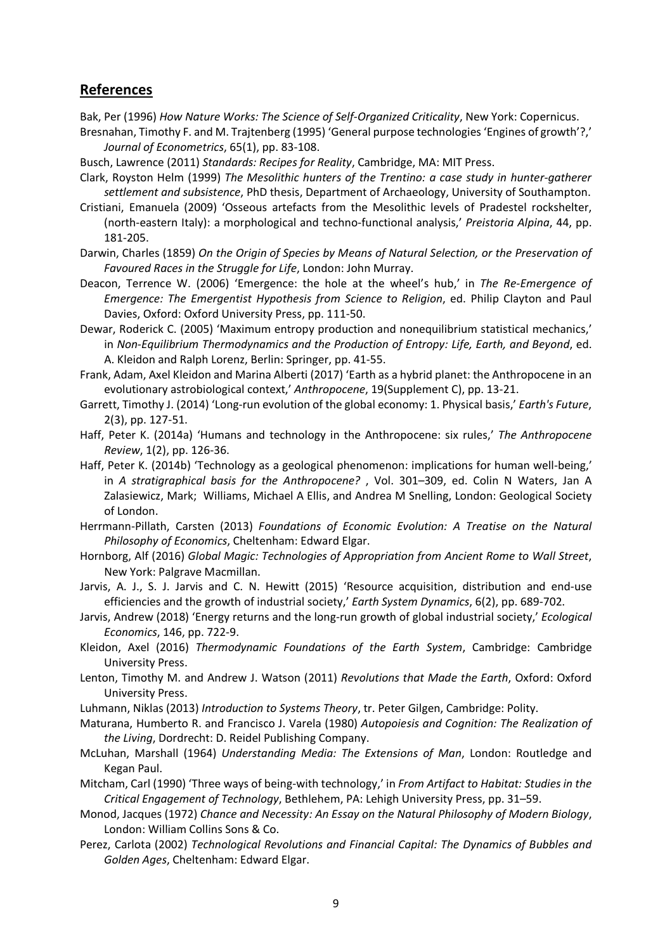# **References**

- Bak, Per (1996) *How Nature Works: The Science of Self-Organized Criticality*, New York: Copernicus.
- Bresnahan, Timothy F. and M. Trajtenberg (1995) 'General purpose technologies 'Engines of growth'?,' *Journal of Econometrics*, 65(1), pp. 83-108.
- Busch, Lawrence (2011) *Standards: Recipes for Reality*, Cambridge, MA: MIT Press.
- Clark, Royston Helm (1999) *The Mesolithic hunters of the Trentino: a case study in hunter-gatherer settlement and subsistence*, PhD thesis, Department of Archaeology, University of Southampton.
- Cristiani, Emanuela (2009) 'Osseous artefacts from the Mesolithic levels of Pradestel rockshelter, (north-eastern Italy): a morphological and techno-functional analysis,' *Preistoria Alpina*, 44, pp. 181-205.
- Darwin, Charles (1859) *On the Origin of Species by Means of Natural Selection, or the Preservation of Favoured Races in the Struggle for Life*, London: John Murray.
- Deacon, Terrence W. (2006) 'Emergence: the hole at the wheel's hub,' in *The Re-Emergence of Emergence: The Emergentist Hypothesis from Science to Religion*, ed. Philip Clayton and Paul Davies, Oxford: Oxford University Press, pp. 111-50.
- Dewar, Roderick C. (2005) 'Maximum entropy production and nonequilibrium statistical mechanics,' in *Non-Equilibrium Thermodynamics and the Production of Entropy: Life, Earth, and Beyond*, ed. A. Kleidon and Ralph Lorenz, Berlin: Springer, pp. 41-55.
- Frank, Adam, Axel Kleidon and Marina Alberti (2017) 'Earth as a hybrid planet: the Anthropocene in an evolutionary astrobiological context,' *Anthropocene*, 19(Supplement C), pp. 13-21.
- Garrett, Timothy J. (2014) 'Long-run evolution of the global economy: 1. Physical basis,' *Earth's Future*, 2(3), pp. 127-51.
- Haff, Peter K. (2014a) 'Humans and technology in the Anthropocene: six rules,' *The Anthropocene Review*, 1(2), pp. 126-36.
- Haff, Peter K. (2014b) 'Technology as a geological phenomenon: implications for human well-being,' in *A stratigraphical basis for the Anthropocene?* , Vol. 301–309, ed. Colin N Waters, Jan A Zalasiewicz, Mark; Williams, Michael A Ellis, and Andrea M Snelling, London: Geological Society of London.
- Herrmann-Pillath, Carsten (2013) *Foundations of Economic Evolution: A Treatise on the Natural Philosophy of Economics*, Cheltenham: Edward Elgar.
- Hornborg, Alf (2016) *Global Magic: Technologies of Appropriation from Ancient Rome to Wall Street*, New York: Palgrave Macmillan.
- Jarvis, A. J., S. J. Jarvis and C. N. Hewitt (2015) 'Resource acquisition, distribution and end-use efficiencies and the growth of industrial society,' *Earth System Dynamics*, 6(2), pp. 689-702.
- Jarvis, Andrew (2018) 'Energy returns and the long-run growth of global industrial society,' *Ecological Economics*, 146, pp. 722-9.
- Kleidon, Axel (2016) *Thermodynamic Foundations of the Earth System*, Cambridge: Cambridge University Press.
- Lenton, Timothy M. and Andrew J. Watson (2011) *Revolutions that Made the Earth*, Oxford: Oxford University Press.
- Luhmann, Niklas (2013) *Introduction to Systems Theory*, tr. Peter Gilgen, Cambridge: Polity.
- Maturana, Humberto R. and Francisco J. Varela (1980) *Autopoiesis and Cognition: The Realization of the Living*, Dordrecht: D. Reidel Publishing Company.
- McLuhan, Marshall (1964) *Understanding Media: The Extensions of Man*, London: Routledge and Kegan Paul.
- Mitcham, Carl (1990) 'Three ways of being-with technology,' in *From Artifact to Habitat: Studies in the Critical Engagement of Technology*, Bethlehem, PA: Lehigh University Press, pp. 31–59.
- Monod, Jacques (1972) *Chance and Necessity: An Essay on the Natural Philosophy of Modern Biology*, London: William Collins Sons & Co.
- Perez, Carlota (2002) *Technological Revolutions and Financial Capital: The Dynamics of Bubbles and Golden Ages*, Cheltenham: Edward Elgar.